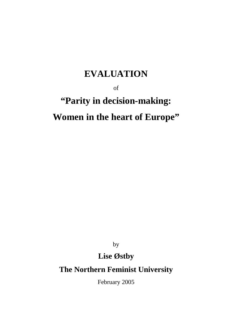# **EVALUATION**

of

# **"Parity in decision-making: Women in the heart of Europe"**

by

## **Lise Østby**

## **The Northern Feminist University**

February 2005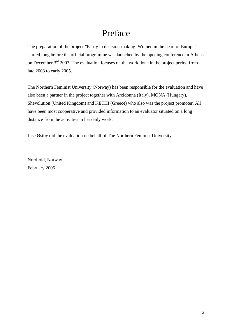# Preface

<span id="page-1-0"></span>The preparation of the project "Parity in decision-making: Women in the heart of Europe" started long before the official programme was launched by the opening conference in Athens on December  $3<sup>rd</sup>$  2003. The evaluation focuses on the work done in the project period from late 2003 to early 2005.

The Northern Feminist University (Norway) has been responsible for the evaluation and have also been a partner in the project together with Arcidonna (Italy), MONA (Hungary), Shevolution (United Kingdom) and KETHI (Greece) who also was the project promoter. All have been most cooperative and provided information to an evaluator situated on a long distance from the activities in her daily work.

Lise Østby did the evaluation on behalf of The Northern Feminist University.

Nordfold, Norway February 2005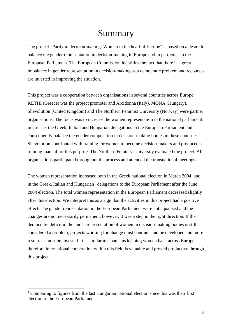# Summary

<span id="page-2-1"></span>The project "Parity in decision-making: Women in the heart of Europe" is based on a desire to balance the gender representation in decision-making in Europe and in particular in the European Parliament. The European Commission identifies the fact that there is a great imbalance in gender representation in decision-making as a democratic problem and recourses are invested in improving the situation.

This project was a cooperation between organisations in several countries across Europe. KETHI (Greece) was the project promoter and Arcidonna (Italy), MONA (Hungary), Shevolution (United Kingdom) and The Northern Feminist University (Norway) were partner organisations. The focus was to increase the women representation in the national parliament in Greece, the Greek, Italian and Hungarian delegations in the European Parliament and consequently balance the gender composition in decision-making bodies in these countries. Shevolution contributed with training for women to become decision-makers and produced a training manual for this purpose. The Northern Feminist University evaluated the project. All organisations participated throughout the process and attended the transnational meetings.

The women representation increased both in the Greek national election in March 2004, and in the Greek, Italian and Hungarian<sup>[1](#page-2-0)</sup> delegations to the European Parliament after the June 2004 election. The total women representation in the European Parliament decreased slightly after this election. We interpret this as a sign that the activities in this project had a positive effect. The gender representation in the European Parliament were not equalised and the changes are not necessarily permanent, however, it was a step in the right direction. If the democratic deficit in the under-representation of women in decision-making bodies is still considered a problem, projects working for change must continue and be developed and more resources must be invested. It is similar mechanisms keeping women back across Europe, therefore international cooperation within this field is valuable and proved productive through this project.

<u>.</u>

<span id="page-2-0"></span> $1$  Comparing to figures from the last Hungarian national election since this was their first election to the European Parliament.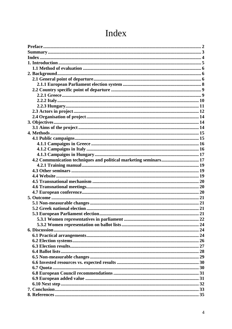<span id="page-3-0"></span>

| 4.2 Communication techniques and political marketing seminars 17 |  |
|------------------------------------------------------------------|--|
|                                                                  |  |
|                                                                  |  |
|                                                                  |  |
|                                                                  |  |
|                                                                  |  |
|                                                                  |  |
|                                                                  |  |
|                                                                  |  |
|                                                                  |  |
|                                                                  |  |
|                                                                  |  |
|                                                                  |  |
|                                                                  |  |
|                                                                  |  |
|                                                                  |  |
|                                                                  |  |
|                                                                  |  |
|                                                                  |  |
|                                                                  |  |
|                                                                  |  |
|                                                                  |  |
|                                                                  |  |
|                                                                  |  |
|                                                                  |  |
|                                                                  |  |

# Index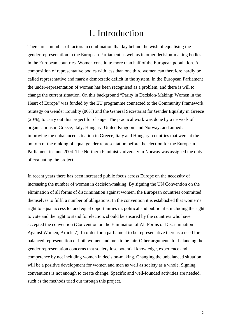# 1. Introduction

<span id="page-4-0"></span>There are a number of factors in combination that lay behind the wish of equalising the gender representation in the European Parliament as well as in other decision-making bodies in the European countries. Women constitute more than half of the European population. A composition of representative bodies with less than one third women can therefore hardly be called representative and mark a democratic deficit in the system. In the European Parliament the under-representation of women has been recognised as a problem, and there is will to change the current situation. On this background "Parity in Decision-Making: Women in the Heart of Europe" was funded by the EU programme connected to the Community Framework Strategy on Gender Equality (80%) and the General Secretariat for Gender Equality in Greece (20%), to carry out this project for change. The practical work was done by a network of organisations in Greece, Italy, Hungary, United Kingdom and Norway, and aimed at improving the unbalanced situation in Greece, Italy and Hungary, countries that were at the bottom of the ranking of equal gender representation before the election for the European Parliament in June 2004. The Northern Feminist University in Norway was assigned the duty of evaluating the project.

In recent years there has been increased public focus across Europe on the necessity of increasing the number of women in decision-making. By signing the UN Convention on the elimination of all forms of discrimination against women, the European countries committed themselves to fulfil a number of obligations. In the convention it is established that women's right to equal access to, and equal opportunities in, political and public life, including the right to vote and the right to stand for election, should be ensured by the countries who have accepted the convention (Convention on the Elimination of All Forms of Discrimination Against Women, Article 7). In order for a parliament to be representative there is a need for balanced representation of both women and men to be fair. Other arguments for balancing the gender representation concerns that society lose potential knowledge, experience and competence by not including women in decision-making. Changing the unbalanced situation will be a positive development for women and men as well as society as a whole. Signing conventions is not enough to create change. Specific and well-founded activities are needed, such as the methods tried out through this project.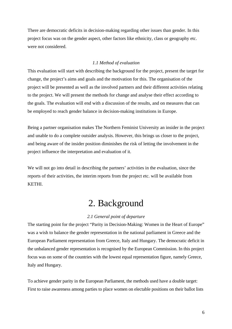<span id="page-5-0"></span>There are democratic deficits in decision-making regarding other issues than gender. In this project focus was on the gender aspect, other factors like ethnicity, class or geography etc. were not considered.

### *1.1 Method of evaluation*

This evaluation will start with describing the background for the project, present the target for change, the project's aims and goals and the motivation for this. The organisation of the project will be presented as well as the involved partners and their different activities relating to the project. We will present the methods for change and analyse their effect according to the goals. The evaluation will end with a discussion of the results, and on measures that can be employed to reach gender balance in decision-making institutions in Europe.

Being a partner organisation makes The Northern Feminist University an insider in the project and unable to do a complete outsider analysis. However, this brings us closer to the project, and being aware of the insider position diminishes the risk of letting the involvement in the project influence the interpretation and evaluation of it.

We will not go into detail in describing the partners' activities in the evaluation, since the reports of their activities, the interim reports from the project etc. will be available from KETHI.

# 2. Background

### *2.1 General point of departure*

The starting point for the project "Parity in Decision-Making: Women in the Heart of Europe" was a wish to balance the gender representation in the national parliament in Greece and the European Parliament representation from Greece, Italy and Hungary. The democratic deficit in the unbalanced gender representation is recognised by the European Commission. In this project focus was on some of the countries with the lowest equal representation figure, namely Greece, Italy and Hungary.

To achieve gender parity in the European Parliament, the methods used have a double target: First to raise awareness among parties to place women on electable positions on their ballot lists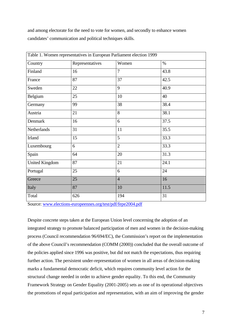and among electorate for the need to vote for women, and secondly to enhance women candidates' communication and political techniques skills.

|                       | Table 1. Women representatives in European Parliament election 1999 |                |      |  |
|-----------------------|---------------------------------------------------------------------|----------------|------|--|
| Country               | Representatives                                                     | Women          | $\%$ |  |
| Finland               | 16                                                                  | $\overline{7}$ | 43.8 |  |
| France                | 87                                                                  | 37             | 42.5 |  |
| Sweden                | 22                                                                  | 9              | 40.9 |  |
| Belgium               | 25                                                                  | 10             | 40   |  |
| Germany               | 99                                                                  | 38             | 38.4 |  |
| Austria               | 21                                                                  | 8              | 38.1 |  |
| Denmark               | 16                                                                  | 6              | 37.5 |  |
| Netherlands           | 31                                                                  | 11             | 35.5 |  |
| Irland                | 15                                                                  | 5              | 33.3 |  |
| Luxembourg            | 6                                                                   | $\overline{2}$ | 33.3 |  |
| Spain                 | 64                                                                  | 20             | 31.3 |  |
| <b>United Kingdom</b> | 87                                                                  | 21             | 24.1 |  |
| Portugal              | 25                                                                  | 6              | 24   |  |
| Greece                | 25                                                                  | $\overline{4}$ | 16   |  |
| Italy                 | 87                                                                  | 10             | 11.5 |  |
| Total                 | 626                                                                 | 194            | 31   |  |

Source: [www.elections-europeennes.org/test/pdf/fepe2004.pdf](http://www.elections-europeennes.org/test/pdf/fepe2004.pdf) 

Despite concrete steps taken at the European Union level concerning the adoption of an integrated strategy to promote balanced participation of men and women in the decision-making process (Council recommendation 96/694/EC), the Commission's report on the implementation of the above Council's recommendation (COMM (2000)) concluded that the overall outcome of the policies applied since 1996 was positive, but did not match the expectations, thus requiring further action. The persistent under-representation of women in all areas of decision-making marks a fundamental democratic deficit, which requires community level action for the structural change needed in order to achieve gender equality. To this end, the Community Framework Strategy on Gender Equality (2001-2005) sets as one of its operational objectives the promotions of equal participation and representation, with an aim of improving the gender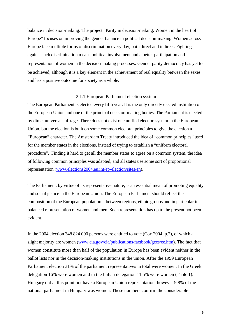<span id="page-7-0"></span>balance in decision-making. The project "Parity in decision-making: Women in the heart of Europe" focuses on improving the gender balance in political decision-making. Women across Europe face multiple forms of discrimination every day, both direct and indirect. Fighting against such discrimination means political involvement and a better participation and representation of women in the decision-making processes. Gender parity democracy has yet to be achieved, although it is a key element in the achievement of real equality between the sexes and has a positive outcome for society as a whole.

#### 2.1.1 European Parliament election system

The European Parliament is elected every fifth year. It is the only directly elected institution of the European Union and one of the principal decision-making bodies. The Parliament is elected by direct universal suffrage. There does not exist one unified election system in the European Union, but the election is built on some common electoral principles to give the election a "European" character. The Amsterdam Treaty introduced the idea of "common principles" used for the member states in the elections, instead of trying to establish a "uniform electoral procedure". Finding it hard to get all the member states to agree on a common system, the idea of following common principles was adapted, and all states use some sort of proportional representation [\(www.elections2004.eu.int/ep-election/sites/en\)](http://www.elections2004.eu.int/ep-election/sites/sv/links/).

The Parliament, by virtue of its representative nature, is an essential mean of promoting equality and social justice in the European Union. The European Parliament should reflect the composition of the European population – between regions, ethnic groups and in particular in a balanced representation of women and men. Such representation has up to the present not been evident.

In the 2004 election 348 824 000 persons were entitled to vote (Cox 2004: p.2), of which a slight majority are women [\(www.cia.gov/cia/publications/factbook/gees/ee.htm](http://www.cia.gov/cia/publications/factbook/gees/ee.htm)). The fact that women constitute more than half of the population in Europe has been evident neither in the ballot lists nor in the decision-making institutions in the union. After the 1999 European Parliament election 31% of the parliament representatives in total were women. In the Greek delegation 16% were women and in the Italian delegation 11.5% were women (Table 1). Hungary did at this point not have a European Union representation, however 9.8% of the national parliament in Hungary was women. These numbers confirm the considerable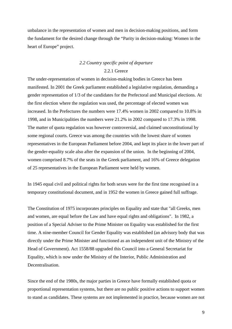<span id="page-8-0"></span>unbalance in the representation of women and men in decision-making positions, and form the fundament for the desired change through the "Parity in decision-making: Women in the heart of Europe" project.

### *2.2 Country specific point of departure*  2.2.1 Greece

The under-representation of women in decision-making bodies in Greece has been manifested. In 2001 the Greek parliament established a legislative regulation, demanding a gender representation of 1/3 of the candidates for the Prefectoral and Municipal elections. At the first election where the regulation was used, the percentage of elected women was increased. In the Prefectures the numbers were 17.4% women in 2002 compared to 10.8% in 1998, and in Municipalities the numbers were 21.2% in 2002 compared to 17.3% in 1998. The matter of quota regulation was however controversial, and claimed unconstitutional by some regional courts. Greece was among the countries with the lowest share of women representatives in the European Parliament before 2004, and kept its place in the lower part of the gender-equality scale also after the expansion of the union. In the beginning of 2004, women comprised 8.7% of the seats in the Greek parliament, and 16% of Greece delegation of 25 representatives in the European Parliament were held by women.

In 1945 equal civil and political rights for both sexes were for the first time recognised in a temporary constitutional document, and in 1952 the women in Greece gained full suffrage.

The Constitution of 1975 incorporates principles on Equality and state that "all Greeks, men and women, are equal before the Law and have equal rights and obligations". In 1982, a position of a Special Adviser to the Prime Minister on Equality was established for the first time. A nine-member Council for Gender Equality was established (an advisory body that was directly under the Prime Minister and functioned as an independent unit of the Ministry of the Head of Government). Act 1558/88 upgraded this Council into a General Secretariat for Equality, which is now under the Ministry of the Interior, Public Administration and Decentralisation.

Since the end of the 1980s, the major parties in Greece have formally established quota or proportional representation systems, but there are no public positive actions to support women to stand as candidates. These systems are not implemented in practice, because women are not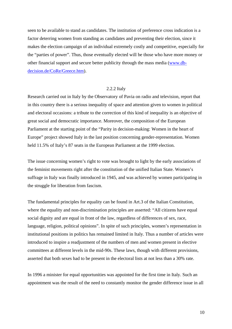<span id="page-9-0"></span>seen to be available to stand as candidates. The institution of preference cross indication is a factor deterring women from standing as candidates and preventing their election, since it makes the election campaign of an individual extremely costly and competitive, especially for the "parties of power". Thus, those eventually elected will be those who have more money or other financial support and secure better publicity through the mass media [\(www.db](http://www.db-decision.de/CoRe/Greece.htm)[decision.de/CoRe/Greece.htm\)](http://www.db-decision.de/CoRe/Greece.htm).

#### 2.2.2 Italy

Research carried out in Italy by the Observatory of Pavia on radio and television, report that in this country there is a serious inequality of space and attention given to women in political and electoral occasions: a tribute to the correction of this kind of inequality is an objective of great social and democratic importance. Moreover, the composition of the European Parliament at the starting point of the "Parity in decision-making: Women in the heart of Europe" project showed Italy in the last position concerning gender-representation. Women held 11.5% of Italy's 87 seats in the European Parliament at the 1999 election.

The issue concerning women's right to vote was brought to light by the early associations of the feminist movements right after the constitution of the unified Italian State. Women's suffrage in Italy was finally introduced in 1945, and was achieved by women participating in the struggle for liberation from fascism.

The fundamental principles for equality can be found in Art.3 of the Italian Constitution, where the equality and non-discrimination principles are asserted: "All citizens have equal social dignity and are equal in front of the law, regardless of differences of sex, race, language, religion, political opinions". In spite of such principles, women's representation in institutional positions in politics has remained limited in Italy. Thus a number of articles were introduced to inspire a readjustment of the numbers of men and women present in elective committees at different levels in the mid-90s. These laws, though with different provisions, asserted that both sexes had to be present in the electoral lists at not less than a 30% rate.

In 1996 a minister for equal opportunities was appointed for the first time in Italy. Such an appointment was the result of the need to constantly monitor the gender difference issue in all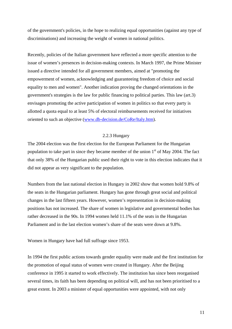<span id="page-10-0"></span>of the government's policies, in the hope to realizing equal opportunities (against any type of discriminations) and increasing the weight of women in national politics.

Recently, policies of the Italian government have reflected a more specific attention to the issue of women's presences in decision-making contexts. In March 1997, the Prime Minister issued a directive intended for all government members, aimed at "promoting the empowerment of women, acknowledging and guaranteeing freedom of choice and social equality to men and women". Another indication proving the changed orientations in the government's strategies is the law for public financing to political parties. This law (art.3) envisages promoting the active participation of women in politics so that every party is allotted a quota equal to at least 5% of electoral reimbursements received for initiatives oriented to such an objective [\(www.db-decision.de/CoRe/Italy.htm](http://www.db-decision.de/CoRe/Italy.htm)).

### 2.2.3 Hungary

The 2004 election was the first election for the European Parliament for the Hungarian population to take part in since they became member of the union  $1<sup>st</sup>$  of May 2004. The fact that only 38% of the Hungarian public used their right to vote in this election indicates that it did not appear as very significant to the population.

Numbers from the last national election in Hungary in 2002 show that women hold 9.8% of the seats in the Hungarian parliament. Hungary has gone through great social and political changes in the last fifteen years. However, women's representation in decision-making positions has not increased. The share of women in legislative and governmental bodies has rather decreased in the 90s. In 1994 women held 11.1% of the seats in the Hungarian Parliament and in the last election women's share of the seats were down at 9.8%.

Women in Hungary have had full suffrage since 1953.

In 1994 the first public actions towards gender equality were made and the first institution for the promotion of equal status of women were created in Hungary. After the Beijing conference in 1995 it started to work effectively. The institution has since been reorganised several times, its faith has been depending on political will, and has not been prioritised to a great extent. In 2003 a minister of equal opportunities were appointed, with not only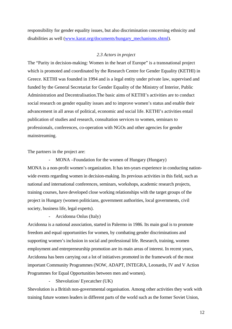<span id="page-11-0"></span>responsibility for gender equality issues, but also discrimination concerning ethnicity and disabilities as well ([www.karat.org/documents/hungary\\_mechanisms.shtml\)](http://www.karat.org/documents/hungary_mechanisms.shtml).

#### *2.3 Actors in project*

The "Parity in decision-making: Women in the heart of Europe" is a transnational project which is promoted and coordinated by the Research Centre for Gender Equality (KETHI) in Greece. KETHI was founded in 1994 and is a legal entity under private law, supervised and funded by the General Secretariat for Gender Equality of the Ministry of Interior, Public Administration and Decentralisation.The basic aims of KETHI's activities are to conduct social research on gender equality issues and to improve women's status and enable their advancement in all areas of political, economic and social life. KETHI's activities entail publication of studies and research, consultation services to women, seminars to professionals, conferences, co-operation with NGOs and other agencies for gender mainstreaming.

The partners in the project are:

MONA –Foundation for the women of Hungary (Hungary) MONA is a non-profit women's organization. It has ten-years experience in conducting nationwide events regarding women in decision-making. Its previous activities in this field, such as national and international conferences, seminars, workshops, academic research projects, training courses, have developed close working relationships with the target groups of the project in Hungary (women politicians, government authorities, local governments, civil society, business life, legal experts).

- Arcidonna Onlus (Italy)

Arcidonna is a national association, started in Palermo in 1986. Its main goal is to promote freedom and equal opportunities for women, by combating gender discriminations and supporting women's inclusion in social and professional life. Research, training, women employment and entrepreneurship promotion are its main areas of interest. In recent years, Arcidonna has been carrying out a lot of initiatives promoted in the framework of the most important Community Programmes (NOW, ADAPT, INTEGRA, Leonardo, IV and V Action Programmes for Equal Opportunities between men and women).

- Shevolution/ Eyecatcher (UK)

Shevolution is a British non-governmental organisation. Among other activities they work with training future women leaders in different parts of the world such as the former Soviet Union,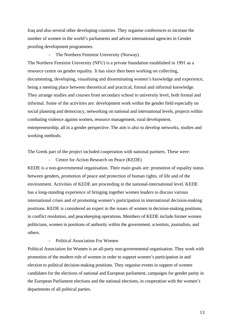Iraq and also several other developing countries. They organise conferences to increase the number of women in the world's parliaments and advise international agencies in Gender proofing development programmes.

#### The Northern Feminist University (Norway)

The Northern Feminist University (NFU) is a private foundation established in 1991 as a resource centre on gender equality. It has since then been working on collecting, documenting, developing, visualising and disseminating women's knowledge and experience, being a meeting place between theoretical and practical, formal and informal knowledge. They arrange studies and courses from secondary school to university level, both formal and informal. Some of the activities are: development work within the gender field especially on social planning and democracy, networking on national and international levels, projects within combating violence against women, resource management, rural development, entrepreneurship, all in a gender perspective. The aim is also to develop networks, studies and working methods.

The Greek part of the project included cooperation with national partners. These were:

Centre for Action Research on Peace (KEDE)

KEDE is a non-governmental organisation. Their main goals are: promotion of equality status between genders, promotion of peace and protection of human rights, of life and of the environment. Activities of KEDE are proceeding in the national-international level. KEDE has a long-standing experience of bringing together women leaders to discuss various international crises and of promoting women's participation in international decision-making positions. KEDE is considered an expert in the issues of women in decision-making positions, in conflict resolution, and peacekeeping operations. Members of KEDE include former women politicians, women in positions of authority within the government, scientists, journalists, and others.

#### Political Association For Women

Political Association for Women is an all-party non-governmental organisation. They work with promotion of the modern role of women in order to support women's participation in and election to political decision-making positions. They organise events in support of women candidates for the elections of national and European parliament, campaigns for gender parity in the European Parliament elections and the national elections, in cooperation with the women's departments of all political parties.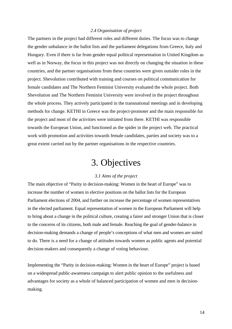#### *2.4 Organisation of project*

<span id="page-13-0"></span>The partners in the project had different roles and different duties. The focus was to change the gender unbalance in the ballot lists and the parliament delegations from Greece, Italy and Hungary. Even if there is far from gender equal political representation in United Kingdom as well as in Norway, the focus in this project was not directly on changing the situation in these countries, and the partner organisations from these countries were given outsider roles in the project. Shevolution contributed with training and courses on political communication for female candidates and The Northern Feminist University evaluated the whole project. Both Shevolution and The Northern Feminist University were involved in the project throughout the whole process. They actively participated in the transnational meetings and in developing methods for change. KETHI in Greece was the project-promoter and the main responsible for the project and most of the activities were initiated from there. KETHI was responsible towards the European Union, and functioned as the spider in the project web. The practical work with promotion and activities towards female candidates, parties and society was to a great extent carried out by the partner organisations in the respective countries.

# 3. Objectives

#### *3.1 Aims of the project*

The main objective of "Parity in decision-making: Women in the heart of Europe" was to increase the number of women in elective positions on the ballot lists for the European Parliament elections of 2004, and further on increase the percentage of women representatives in the elected parliament. Equal representation of women in the European Parliament will help to bring about a change in the political culture, creating a fairer and stronger Union that is closer to the concerns of its citizens, both male and female. Reaching the goal of gender-balance in decision-making demands a change of people's conceptions of what men and women are suited to do. There is a need for a change of attitudes towards women as public agents and potential decision-makers and consequently a change of voting behaviour.

Implementing the "Parity in decision-making: Women in the heart of Europe" project is based on a widespread public-awareness campaign to alert public opinion to the usefulness and advantages for society as a whole of balanced participation of women and men in decisionmaking.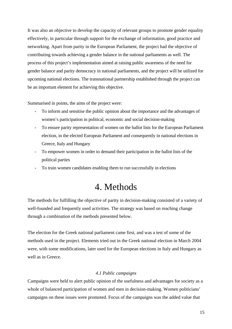<span id="page-14-0"></span>It was also an objective to develop the capacity of relevant groups to promote gender equality effectively, in particular through support for the exchange of information, good practice and networking. Apart from parity in the European Parliament, the project had the objective of contributing towards achieving a gender balance in the national parliaments as well. The process of this project's implementation aimed at raising public awareness of the need for gender balance and parity democracy in national parliaments, and the project will be utilized for upcoming national elections. The transnational partnership established through the project can be an important element for achieving this objective.

Summarised in points, the aims of the project were:

- To inform and sensitise the public opinion about the importance and the advantages of women's participation in political, economic and social decision-making
- To ensure parity representation of women on the ballot lists for the European Parliament election, in the elected European Parliament and consequently in national elections in Greece, Italy and Hungary
- To empower women in order to demand their participation in the ballot lists of the political parties
- To train women candidates enabling them to run successfully in elections

# 4. Methods

The methods for fulfilling the objective of parity in decision-making consisted of a variety of well-founded and frequently used activities. The strategy was based on reaching change through a combination of the methods presented below.

The election for the Greek national parliament came first, and was a test of some of the methods used in the project. Elements tried out in the Greek national election in March 2004 were, with some modifications, later used for the European elections in Italy and Hungary as well as in Greece.

#### *4.1 Public campaigns*

Campaigns were held to alert public opinion of the usefulness and advantages for society as a whole of balanced participation of women and men in decision-making. Women politicians' campaigns on these issues were promoted. Focus of the campaigns was the added value that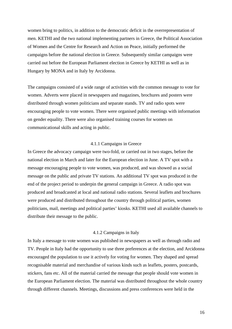<span id="page-15-0"></span>women bring to politics, in addition to the democratic deficit in the overrepresentation of men. KETHI and the two national implementing partners in Greece, the Political Association of Women and the Centre for Research and Action on Peace, initially performed the campaigns before the national election in Greece. Subsequently similar campaigns were carried out before the European Parliament election in Greece by KETHI as well as in Hungary by MONA and in Italy by Arcidonna.

The campaigns consisted of a wide range of activities with the common message to vote for women. Adverts were placed in newspapers and magazines, brochures and posters were distributed through women politicians and separate stands. TV and radio spots were encouraging people to vote women. There were organised public meetings with information on gender equality. There were also organised training courses for women on communicational skills and acting in public.

### 4.1.1 Campaigns in Greece

In Greece the advocacy campaign were two-fold, or carried out in two stages, before the national election in March and later for the European election in June. A TV spot with a message encouraging people to vote women, was produced, and was showed as a social message on the public and private TV stations. An additional TV spot was produced in the end of the project period to underpin the general campaign in Greece. A radio spot was produced and broadcasted at local and national radio stations. Several leaflets and brochures were produced and distributed throughout the country through political parties, women politicians, mail, meetings and political parties' kiosks. KETHI used all available channels to distribute their message to the public.

#### 4.1.2 Campaigns in Italy

In Italy a message to vote women was published in newspapers as well as through radio and TV. People in Italy had the opportunity to use three preferences at the election, and Arcidonna encouraged the population to use it actively for voting for women. They shaped and spread recognisable material and merchandise of various kinds such as leaflets, posters, postcards, stickers, fans etc. All of the material carried the message that people should vote women in the European Parliament election. The material was distributed throughout the whole country through different channels. Meetings, discussions and press conferences were held in the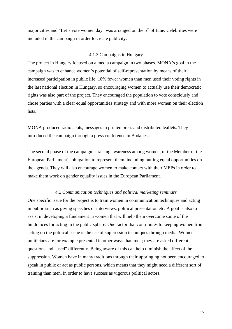<span id="page-16-0"></span>major cities and "Let's vote women day" was arranged on the  $5<sup>th</sup>$  of June. Celebrities were included in the campaign in order to create publicity.

#### 4.1.3 Campaigns in Hungary

The project in Hungary focused on a media campaign in two phases. MONA's goal in the campaign was to enhance women's potential of self-representation by means of their increased participation in public life. 10% fewer women than men used their voting rights in the last national election in Hungary, so encouraging women to actually use their democratic rights was also part of the project. They encouraged the population to vote consciously and chose parties with a clear equal opportunities strategy and with more women on their election lists.

MONA produced radio spots, messages in printed press and distributed leaflets. They introduced the campaign through a press conference in Budapest.

The second phase of the campaign is raising awareness among women, of the Member of the European Parliament's obligation to represent them, including putting equal opportunities on the agenda. They will also encourage women to make contact with their MEPs in order to make them work on gender equality issues in the European Parliament.

#### *4.2 Communication techniques and political marketing seminars*

One specific issue for the project is to train women in communication techniques and acting in public such as giving speeches or interviews, political presentation etc. A goal is also to assist in developing a fundament in women that will help them overcome some of the hindrances for acting in the public sphere. One factor that contributes to keeping women from acting on the political scene is the use of suppression techniques through media. Women politicians are for example presented in other ways than men; they are asked different questions and "used" differently. Being aware of this can help diminish the effect of the suppression. Women have in many traditions through their upbringing not been encouraged to speak in public or act as public persons, which means that they might need a different sort of training than men, in order to have success as vigorous political actors.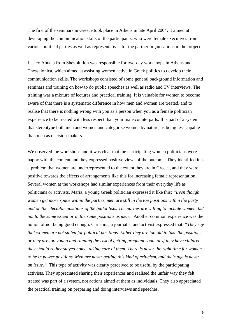The first of the seminars in Greece took place in Athens in late April 2004. It aimed at developing the communication skills of the participants, who were female executives from various political parties as well as representatives for the partner organisations in the project.

Lesley Abdela from Shevolution was responsible for two-day workshops in Athens and Thessalonica, which aimed at assisting women active in Greek politics to develop their communication skills. The workshops consisted of some general background information and seminars and training on how to do public speeches as well as radio and TV interviews. The training was a mixture of lectures and practical training. It is valuable for women to become aware of that there is a systematic difference in how men and women are treated, and to realise that there is nothing wrong with you as a person when you as a female politician experience to be treated with less respect than your male counterparts. It is part of a system that stereotype both men and women and categorise women by nature, as being less capable than men as decision-makers.

We observed the workshops and it was clear that the participating women politicians were happy with the content and they expressed positive views of the outcome. They identified it as a problem that women are underrepresented to the extent they are in Greece, and they were positive towards the effects of arrangements like this for increasing female representation. Several women at the workshops had similar experiences from their everyday life as politicians or activists. Maria, a young Greek politician expressed it like this: *"Even though women get more space within the parties, men are still in the top positions within the party and on the electable positions of the ballot lists. The parties are willing to include women, but not to the same extent or in the same positions as men."* Another common experience was the notion of not being good enough. Christina, a journalist and activist expressed that: *"They say that women are not suited for political positions. Either they are too old to take the position, or they are too young and running the risk of getting pregnant soon, or if they have children they should rather stayed home, taking care of them. There is never the right time for women to be in power positions. Men are never getting this kind of criticism, and their age is never an issue."* This type of activity was clearly perceived to be useful by the participating activists. They appreciated sharing their experiences and realised the unfair way they felt treated was part of a system, not actions aimed at them as individuals. They also appreciated the practical training on preparing and doing interviews and speeches.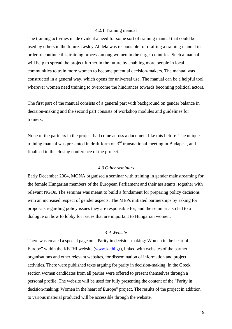#### 4.2.1 Training manual

<span id="page-18-0"></span>The training activities made evident a need for some sort of training manual that could be used by others in the future. Lesley Abdela was responsible for drafting a training manual in order to continue this training process among women in the target countries. Such a manual will help to spread the project further in the future by enabling more people in local communities to train more women to become potential decision-makers. The manual was constructed in a general way, which opens for universal use. The manual can be a helpful tool wherever women need training to overcome the hindrances towards becoming political actors.

The first part of the manual consists of a general part with background on gender balance in decision-making and the second part consists of workshop modules and guidelines for trainers.

None of the partners in the project had come across a document like this before. The unique training manual was presented in draft form on  $3<sup>rd</sup>$  transnational meeting in Budapest, and finalised to the closing conference of the project.

#### *4.3 Other seminars*

Early December 2004, MONA organised a seminar with training in gender mainstreaming for the female Hungarian members of the European Parliament and their assistants, together with relevant NGOs. The seminar was meant to build a fundament for preparing policy decisions with an increased respect of gender aspects. The MEPs initiated partnerships by asking for proposals regarding policy issues they are responsible for, and the seminar also led to a dialogue on how to lobby for issues that are important to Hungarian women.

### *4.4 Website*

There was created a special page on "Parity in decision-making: Women in the heart of Europe" within the KETHI website [\(www.kethi.gr](http://www.kethi.gr/)), linked with websites of the partner organisations and other relevant websites, for dissemination of information and project activities. There were published texts arguing for parity in decision-making. In the Greek section women candidates from all parties were offered to present themselves through a personal profile. The website will be used for fully presenting the content of the "Parity in decision-making: Women in the heart of Europe" project. The results of the project in addition to various material produced will be accessible through the website.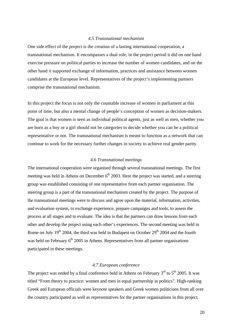#### *4.5 Transnational mechanism*

<span id="page-19-0"></span>One side effect of the project is the creation of a lasting international cooperation, a transnational mechanism. It encompasses a dual role, in the project period it did on one hand exercise pressure on political parties to increase the number of women candidates, and on the other hand it supported exchange of information, practices and assistance between women candidates at the European level. Representatives of the project's implementing partners comprise the transnational mechanism.

In this project the focus is not only the countable increase of women in parliament at this point of time, but also a mental change of people's conception of women as decision-makers. The goal is that women is seen as individual political agents, just as well as men, whether you are born as a boy or a girl should not be categories to decide whether you can be a political representative or not. The transnational mechanism is meant to function as a network that can continue to work for the necessary further changes in society to achieve real gender parity.

#### *4.6 Transnational meetings*

The international cooperation were organised through several transnational meetings. The first meeting was held in Athens on December  $6<sup>th</sup>$  2003. Here the project was started, and a steering group was established consisting of one representative from each partner organisation. The steering group is a part of the transnational mechanism created by the project. The purpose of the transnational meetings were to discuss and agree upon the material, information, activities, and evaluation system, to exchange experience, prepare campaigns and tools, to assess the process at all stages and to evaluate. The idea is that the partners can draw lessons from each other and develop the project using each other's experiences. The second meeting was held in Rome on July  $19<sup>th</sup>$  2004, the third was held in Budapest on October  $29<sup>th</sup>$  2004 and the fourth was held on February  $6<sup>th</sup>$  2005 in Athens. Representatives from all partner organisations participated in these meetings.

#### *4.7 European conference*

The project was ended by a final conference held in Athens on February  $3<sup>rd</sup>$  to  $5<sup>th</sup>$  2005. It was titled "From theory to practice: women and men in equal partnership in politics". High-ranking Greek and European officials were keynote speakers and Greek women politicians from all over the country participated as well as representatives for the partner organisations in this project.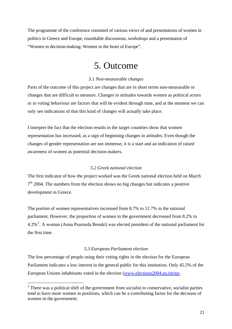<span id="page-20-0"></span>The programme of the conference consisted of various views of and presentations of women in politics in Greece and Europe, roundtable discussions, workshops and a presentation of "Women in decision-making: Women in the heart of Europe".

## 5. Outcome

### *5.1 Non-measurable changes*

Parts of the outcome of this project are changes that are in short terms non-measurable or changes that are difficult to measure. Changes in attitudes towards women as political actors or in voting behaviour are factors that will be evident through time, and at the moment we can only see indications of that this kind of changes will actually take place.

I interpret the fact that the election results in the target countries show that women representation has increased, as a sign of beginning changes in attitudes. Even though the changes of gender representation are not immense, it is a start and an indication of raised awareness of women as potential decision-makers.

### *5.2 Greek national election*

The first indicator of how the project worked was the Greek national election held on March  $7<sup>th</sup>$  2004. The numbers from the election shows no big changes but indicates a positive development in Greece.

The portion of women representatives increased from 8.7% to 12.7% in the national parliament. However, the proportion of women in the government decreased from 8.2% to  $4.2\%$  $4.2\%$  $4.2\%$ <sup>2</sup>. A woman (Anna Psarouda Benaki) was elected president of the national parliament for the first time.

### *5.3 European Parliament election*

The low percentage of people using their voting rights in the election for the European Parliament indicates a low interest in the general public for this institution. Only 45.5% of the European Unions inhabitants voted in the election [\(www.elections2004.eu.int/ep-](http://www.elections2004.eu.int/ep-election/sites/en)

<u>.</u>

<span id="page-20-1"></span> $2$  There was a political shift of the government from socialist to conservative, socialist parties tend to have more women in positions, which can be a contributing factor for the decrease of women in the government.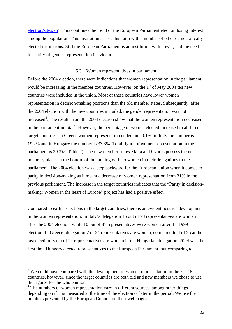<span id="page-21-0"></span>[election/sites/en](http://www.elections2004.eu.int/ep-election/sites/en)). This continues the trend of the European Parliament election losing interest among the population. This institution shares this faith with a number of other democratically elected institutions. Still the European Parliament is an institution with power, and the need for parity of gender representation is evident.

#### 5.3.1 Women representatives in parliament

Before the 2004 election, there were indications that women representation in the parliament would be increasing in the member countries. However, on the  $1<sup>st</sup>$  of May 2004 ten new countries were included in the union. Most of these countries have lower women representation in decision-making positions than the old member states. Subsequently, after the 2004 election with the new countries included, the gender representation was not increased<sup>[3](#page-21-1)</sup>. The results from the 2004 election show that the women representation decreased in the parliament in total<sup>[4](#page-21-2)</sup>. However, the percentage of women elected increased in all three target countries. In Greece women representation ended on 29.1%, in Italy the number is 19.2% and in Hungary the number is 33.3%. Total figure of women representation in the parliament is 30.3% (Table 2). The new member states Malta and Cyprus possess the not honorary places at the bottom of the ranking with no women in their delegations to the parliament. The 2004 election was a step backward for the European Union when it comes to parity in decision-making as it meant a decrease of women representation from 31% in the previous parliament. The increase in the target countries indicates that the "Parity in decisionmaking: Women in the heart of Europe" project has had a positive effect.

Compared to earlier elections in the target countries, there is an evident positive development in the women representation. In Italy's delegation 15 out of 78 representatives are women after the 2004 election, while 10 out of 87 representatives were women after the 1999 election. In Greece' delegation 7 of 24 representatives are women, compared to 4 of 25 at the last election. 8 out of 24 representatives are women in the Hungarian delegation. 2004 was the first time Hungary elected representatives to the European Parliament, but comparing to

1

<span id="page-21-1"></span> $3$  We could have compared with the development of women representation in the EU 15 countries, however, since the target countries are both old and new members we chose to use the figures for the whole union.

<span id="page-21-2"></span><sup>&</sup>lt;sup>4</sup> The numbers of women representation vary in different sources, among other things depending on if it is measured at the time of the election or later in the period. We use the numbers presented by the European Council on their web pages.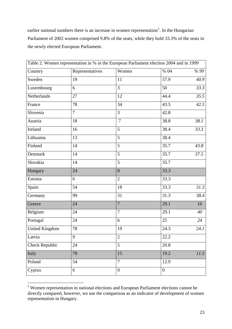earlier national numbers there is an increase in women representation<sup>[5](#page-22-0)</sup>. In the Hungarian Parliament of 2002 women comprised 9.8% of the seats, while they hold 33.3% of the seats in the newly elected European Parliament.

| Table 2. Women representation in % in the European Parliament election 2004 and in 1999 |                 |                |                |      |
|-----------------------------------------------------------------------------------------|-----------------|----------------|----------------|------|
| Country                                                                                 | Representatives | Women          | % 04           | %99  |
| Sweden                                                                                  | 19              | 11             | 57.9           | 40.9 |
| Luxembourg                                                                              | 6               | 3              | 50             | 33.3 |
| Netherlands                                                                             | 27              | 12             | 44.4           | 35.5 |
| France                                                                                  | 78              | 34             | 43.5           | 42.5 |
| Slovenia                                                                                | $\overline{7}$  | 3              | 42.8           |      |
| Austria                                                                                 | 18              | $\overline{7}$ | 38.8           | 38.1 |
| Ireland                                                                                 | 16              | 5              | 38.4           | 33.3 |
| Lithuania                                                                               | 13              | 5              | 38.4           |      |
| Finland                                                                                 | 14              | 5              | 35.7           | 43.8 |
| Denmark                                                                                 | 14              | 5              | 35.7           | 37.5 |
| Slovakia                                                                                | 14              | 5              | 35.7           |      |
| Hungary                                                                                 | 24              | 8              | 33.3           |      |
| Estonia                                                                                 | 6               | $\overline{2}$ | 33.3           |      |
| Spain                                                                                   | 54              | 18             | 33.3           | 31.3 |
| Germany                                                                                 | 99              | 31             | 31.3           | 38.4 |
| Greece                                                                                  | 24              | $\overline{7}$ | 29.1           | 16   |
| Belgium                                                                                 | 24              | 7              | 29.1           | 40   |
| Portugal                                                                                | 24              | 6              | 25             | 24   |
| <b>United Kingdom</b>                                                                   | 78              | 19             | 24.3           | 24.1 |
| Latvia                                                                                  | 9               | $\mathbf{2}$   | 22.2           |      |
| <b>Check Republic</b>                                                                   | 24              | 5              | 20.8           |      |
| Italy                                                                                   | 78              | 15             | 19.2           | 11.5 |
| Poland                                                                                  | 54              | 7              | 12.9           |      |
| Cyprus                                                                                  | 6               | $\overline{0}$ | $\overline{0}$ |      |

<span id="page-22-0"></span><sup>&</sup>lt;sup>5</sup> Women representation in national elections and European Parliament elections cannot be directly compared, however, we use the comparison as an indicator of development of women representation in Hungary.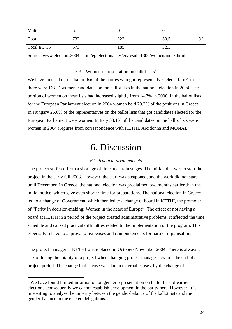<span id="page-23-0"></span>

| Malta       |     |               |      |
|-------------|-----|---------------|------|
| Total       | 732 | $\cap$<br>∸∸∸ | 30.3 |
| Total EU 15 | 573 | 185           | 32.3 |

Source: www.elections2004.eu.int/ep-election/sites/en/results1306/women/index.html

#### 5.3.2 Women representation on ballot lists<sup>[6](#page-23-1)</sup>

We have focused on the ballot lists of the parties who got representatives elected. In Greece there were 16.8% women candidates on the ballot lists in the national election in 2004. The portion of women on these lists had increased slightly from 14.7% in 2000. In the ballot lists for the European Parliament election in 2004 women held 29.2% of the positions in Greece. In Hungary 26.6% of the representatives on the ballot lists that got candidates elected for the European Parliament were women. In Italy 33.1% of the candidates on the ballot lists were women in 2004 (Figures from correspondence with KETHI, Arcidonna and MONA).

# 6. Discussion

#### *6.1 Practical arrangements*

The project suffered from a shortage of time at certain stages. The initial plan was to start the project in the early fall 2003. However, the start was postponed, and the work did not start until December. In Greece, the national election was proclaimed two months earlier than the initial notice, which gave even shorter time for preparations. The national election in Greece led to a change of Government, which then led to a change of board in KETHI, the promoter of "Parity in decision-making: Women in the heart of Europe". The effect of not having a board at KETHI in a period of the project created administrative problems. It affected the time schedule and caused practical difficulties related to the implementation of the program. This especially related to approval of expenses and reimbursements for partner organisation.

The project manager at KETHI was replaced in October/ November 2004. There is always a risk of losing the totality of a project when changing project manager towards the end of a project period. The change in this case was due to external causes, by the change of

1

<span id="page-23-1"></span><sup>&</sup>lt;sup>6</sup> We have found limited information on gender representation on ballot lists of earlier elections, consequently we cannot establish development in the parity here. However, it is interesting to analyse the unparity between the gender-balance of the ballot lists and the gender-balance in the elected delegations.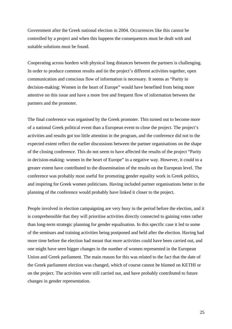Government after the Greek national election in 2004. Occurrences like this cannot be controlled by a project and when this happens the consequences must be dealt with and suitable solutions must be found.

Cooperating across borders with physical long distances between the partners is challenging. In order to produce common results and tie the project's different activities together, open communication and conscious flow of information is necessary. It seems as "Parity in decision-making: Women in the heart of Europe" would have benefited from being more attentive on this issue and have a more free and frequent flow of information between the partners and the promoter.

The final conference was organised by the Greek promoter. This turned out to become more of a national Greek political event than a European event to close the project. The project's activities and results got too little attention in the program, and the conference did not to the expected extent reflect the earlier discussions between the partner organisations on the shape of the closing conference. This do not seem to have affected the results of the project "Parity in decision-making: women in the heart of Europe" in a negative way. However, it could to a greater extent have contributed to the dissemination of the results on the European level. The conference was probably most useful for promoting gender equality work in Greek politics, and inspiring for Greek women politicians. Having included partner organisations better in the planning of the conference would probably have linked it closer to the project.

People involved in election campaigning are very busy in the period before the election, and it is comprehensible that they will prioritise activities directly connected to gaining votes rather than long-term strategic planning for gender equalisation. In this specific case it led to some of the seminars and training activities being postponed and held after the election. Having had more time before the election had meant that more activities could have been carried out, and one might have seen bigger changes in the number of women represented in the European Union and Greek parliament. The main reason for this was related to the fact that the date of the Greek parliament election was changed, which of course cannot be blamed on KETHI or on the project. The activities were still carried out, and have probably contributed to future changes in gender representation.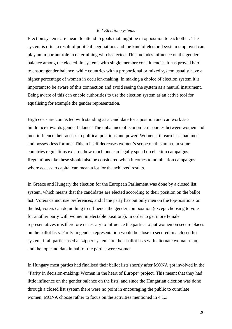#### *6.2 Election systems*

<span id="page-25-0"></span>Election systems are meant to attend to goals that might be in opposition to each other. The system is often a result of political negotiations and the kind of electoral system employed can play an important role in determining who is elected. This includes influence on the gender balance among the elected. In systems with single member constituencies it has proved hard to ensure gender balance, while countries with a proportional or mixed system usually have a higher percentage of women in decision-making. In making a choice of election system it is important to be aware of this connection and avoid seeing the system as a neutral instrument. Being aware of this can enable authorities to use the election system as an active tool for equalising for example the gender representation.

High costs are connected with standing as a candidate for a position and can work as a hindrance towards gender balance. The unbalance of economic resources between women and men influence their access to political positions and power. Women still earn less than men and possess less fortune. This in itself decreases women's scope on this arena. In some countries regulations exist on how much one can legally spend on election campaigns. Regulations like these should also be considered when it comes to nomination campaigns where access to capital can mean a lot for the achieved results.

In Greece and Hungary the election for the European Parliament was done by a closed list system, which means that the candidates are elected according to their position on the ballot list. Voters cannot use preferences, and if the party has put only men on the top-positions on the list, voters can do nothing to influence the gender composition (except choosing to vote for another party with women in electable positions). In order to get more female representatives it is therefore necessary to influence the parties to put women on secure places on the ballot lists. Parity in gender representation would be close to secured in a closed list system, if all parties used a "zipper system" on their ballot lists with alternate woman-man, and the top candidate in half of the parties were women.

In Hungary most parties had finalised their ballot lists shortly after MONA got involved in the "Parity in decision-making: Women in the heart of Europe" project. This meant that they had little influence on the gender balance on the lists, and since the Hungarian election was done through a closed list system there were no point in encouraging the public to cumulate women. MONA choose rather to focus on the activities mentioned in 4.1.3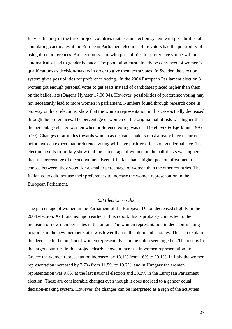<span id="page-26-0"></span>Italy is the only of the three project countries that use an election system with possibilities of cumulating candidates at the European Parliament election. Here voters had the possibility of using three preferences. An election system with possibilities for preference voting will not automatically lead to gender balance. The population must already be convinced of women's qualifications as decision-makers in order to give them extra votes. In Sweden the election system gives possibilities for preference voting. In the 2004 European Parliament election 3 women got enough personal votes to get seats instead of candidates placed higher than them on the ballot lists (Dagens Nyheter 17.06.04). However, possibilities of preference voting may not necessarily lead to more women in parliament. Numbers found through research done in Norway on local elections, show that the women representation in this case actually decreased through the preferences. The percentage of women on the original ballot lists was higher than the percentage elected women when preference voting was used (Hellevik & Bjørklund 1995: p 20). Changes of attitudes towards women as decision-makers must already have occurred before we can expect that preference voting will have positive effects on gender balance. The election results from Italy show that the percentage of women on the ballot lists was higher than the percentage of elected women. Even if Italians had a higher portion of women to choose between, they voted for a smaller percentage of women than the other countries. The Italian voters did not use their preferences to increase the women representation in the European Parliament.

#### *6.3 Election results*

The percentage of women in the Parliament of the European Union decreased slightly in the 2004 election. As I touched upon earlier in this report, this is probably connected to the inclusion of new member states in the union. The women representation in decision-making positions in the new member states was lower than in the old member states. This can explain the decrease in the portion of women representatives in the union seen together. The results in the target countries in this project clearly show an increase in women representation. In Greece the women representation increased by 13.1% from 16% to 29.1%. In Italy the women representation increased by 7.7% from 11.5% to 19.2%, and in Hungary the women representation was 9.8% at the last national election and 33.3% in the European Parliament election. These are considerable changes even though it does not lead to a gender equal decision-making system. However, the changes can be interpreted as a sign of the activities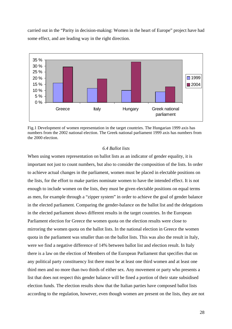<span id="page-27-0"></span>carried out in the "Parity in decision-making: Women in the heart of Europe" project have had some effect, and are leading way in the right direction.



Fig.1 Development of women representation in the target countries. The Hungarian 1999 axis has numbers from the 2002 national election. The Greek national parliament 1999 axis has numbers from the 2000 election.

### *6.4 Ballot lists*

When using women representation on ballot lists as an indicator of gender equality, it is important not just to count numbers, but also to consider the composition of the lists. In order to achieve actual changes in the parliament, women must be placed in electable positions on the lists, for the effort to make parties nominate women to have the intended effect. It is not enough to include women on the lists, they must be given electable positions on equal terms as men, for example through a "zipper system" in order to achieve the goal of gender balance in the elected parliament. Comparing the gender-balance on the ballot list and the delegations in the elected parliament shows different results in the target countries. In the European Parliament election for Greece the women quota on the election results were close to mirroring the women quota on the ballot lists. In the national election in Greece the women quota in the parliament was smaller than on the ballot lists. This was also the result in Italy, were we find a negative difference of 14% between ballot list and election result. In Italy there is a law on the election of Members of the European Parliament that specifies that on any political party constituency list there must be at least one third women and at least one third men and no more than two thirds of either sex. Any movement or party who presents a list that does not respect this gender balance will be fined a portion of their state subsidised election funds. The election results show that the Italian parties have composed ballot lists according to the regulation, however, even though women are present on the lists, they are not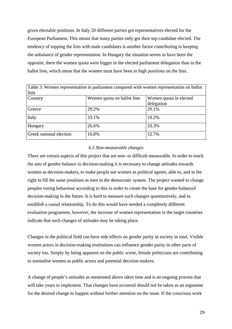<span id="page-28-0"></span>given electable positions. In Italy 20 different parties got representatives elected for the European Parliament. This meant that many parties only got their top candidate elected. The tendency of topping the lists with male candidates is another factor contributing to keeping the unbalance of gender representation. In Hungary the situation seems to have been the opposite, there the women quota were bigger in the elected parliament delegation than in the ballot lists, which mean that the women must have been in high positions on the lists.

| Table 3. Women representation in parliament compared with women representation on ballot |                             |                        |  |
|------------------------------------------------------------------------------------------|-----------------------------|------------------------|--|
| lists                                                                                    |                             |                        |  |
| Country                                                                                  | Women quota on ballot lists | Women quota in elected |  |
|                                                                                          |                             | delegation             |  |
| Greece                                                                                   | 29.2%                       | 29.1%                  |  |
| Italy                                                                                    | 33.1%                       | 19.2%                  |  |
| Hungary                                                                                  | 26.6%                       | 33.3%                  |  |
| <b>Greek national election</b>                                                           | 16.8%                       | 12.7%                  |  |

### *6.5 Non-measurable changes*

There are certain aspects of this project that are non- or difficult measurable. In order to reach the aim of gender-balance in decision-making it is necessary to change attitudes towards women as decision-makers, to make people see women as political agents, able to, and in the right to fill the same positions as men in the democratic system. The project wanted to change peoples voting behaviour according to this in order to create the base for gender-balanced decision-making in the future. It is hard to measure such changes quantitatively, and to establish a causal relationship. To do this would have needed a completely different evaluation programme, however, the increase of women representation in the target countries indicate that such changes of attitudes may be taking place.

Changes in the political field can have side effects on gender parity in society in total. Visible women actors in decision-making institutions can influence gender parity in other parts of society too. Simply by being apparent on the public scene, female politicians are contributing to normalise women as public actors and potential decision-makers.

A change of people's attitudes as mentioned above takes time and is an ongoing process that will take years to implement. That changes have occurred should not be taken as an argument for the desired change to happen without further attention on the issue. If the conscious work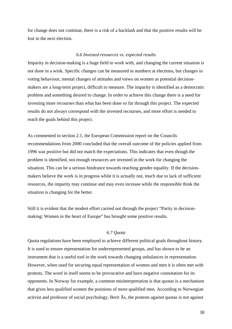<span id="page-29-0"></span>for change does not continue, there is a risk of a backlash and that the positive results will be lost in the next election.

#### *6.6 Invested resources vs. expected results*

Imparity in decision-making is a huge field to work with, and changing the current situation is not done in a wink. Specific changes can be measured in numbers at elections, but changes in voting behaviour, mental changes of attitudes and views on women as potential decisionmakers are a long-term project, difficult to measure. The imparity is identified as a democratic problem and something desired to change. In order to achieve this change there is a need for investing more recourses than what has been done so far through this project. The expected results do not always correspond with the invested recourses, and more effort is needed to reach the goals behind this project.

As commented in section 2.1, the European Commission report on the Councils recommendations from 2000 concluded that the overall outcome of the policies applied from 1996 was positive but did not match the expectations. This indicates that even though the problem is identified, not enough resources are invested in the work for changing the situation. This can be a serious hindrance towards reaching gender equality. If the decisionmakers believe the work is in progress while it is actually not, much due to lack of sufficient resources, the imparity may continue and may even increase while the responsible think the situation is changing for the better.

Still it is evident that the modest effort carried out through the project "Parity in decisionmaking: Women in the heart of Europe" has brought some positive results.

#### *6.7 Quota*

Quota regulations have been employed to achieve different political goals throughout history. It is used to ensure representation for underrepresented groups, and has shown to be an instrument that is a useful tool in the work towards changing unbalances in representation. However, when used for securing equal representation of women and men it is often met with protests. The word in itself seems to be provocative and have negative connotation for its opponents. In Norway for example, a common misinterpretation is that quotas is a mechanism that gives less qualified women the positions of more qualified men. According to Norwegian activist and professor of social psychology, Berit Ås, the protests against quotas is not against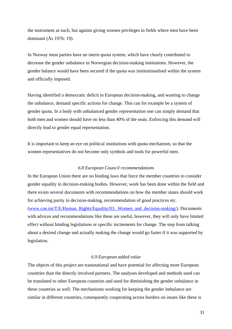<span id="page-30-0"></span>the instrument as such, but against giving women privileges in fields where men have been dominant (Ås 1976: 19).

In Norway most parties have an intern quota system, which have clearly contributed to decrease the gender unbalance in Norwegian decision-making institutions. However, the gender balance would have been secured if the quota was institutionalised within the system and officially imposed.

Having identified a democratic deficit in European decision-making, and wanting to change the unbalance, demand specific actions for change. This can for example be a system of gender quota. In a body with unbalanced gender representation one can simply demand that both men and women should have no less than 40% of the seats. Enforcing this demand will directly lead to gender equal representation.

It is important to keep an eye on political institutions with quota mechanism, so that the women representatives do not become only symbols and tools for powerful men.

#### *6.8 European Council recommendations*

In the European Union there are no binding laws that force the member countries to consider gender equality in decision-making bodies. However, work has been done within the field and there exists several documents with recommendations on how the member states should work for achieving parity in decision-making, recommendation of good practices etc.

([www.coe.int/T/E/Human\\_Rights/Equality/03.\\_Women\\_and\\_decision-making/\)](http://www.coe.int/T/E/Human_Rights/Equality/03._Women_and_decision-making/). Documents with advices and recommendations like these are useful, however, they will only have limited effect without binding legislations or specific incitements for change. The step from talking about a desired change and actually making the change would go faster if it was supported by legislation.

#### *6.9 European added value*

The objects of this project are transnational and have potential for affecting more European countries than the directly involved partners. The analyses developed and methods used can be translated to other European countries and used for diminishing the gender unbalance in these countries as well. The mechanisms working for keeping the gender imbalance are similar in different countries, consequently cooperating across borders on issues like these is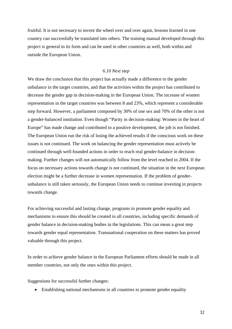<span id="page-31-0"></span>fruitful. It is not necessary to invent the wheel over and over again, lessons learned in one country can successfully be translated into others. The training manual developed through this project is general in its form and can be used in other countries as well, both within and outside the European Union.

### *6.10 Next step*

We draw the conclusion that this project has actually made a difference to the gender unbalance in the target countries, and that the activities within the project has contributed to decrease the gender gap in decision-making in the European Union. The increase of women representation in the target countries was between 8 and 23%, which represent a considerable step forward. However, a parliament composed by 30% of one sex and 70% of the other is not a gender-balanced institution. Even though "Parity in decision-making: Women in the heart of Europe" has made change and contributed to a positive development, the job is not finished. The European Union run the risk of losing the achieved results if the conscious work on these issues is not continued. The work on balancing the gender representation must actively be continued through well-founded actions in order to reach real gender-balance in decisionmaking. Further changes will not automatically follow from the level reached in 2004. If the focus on necessary actions towards change is not continued, the situation in the next European election might be a further decrease in women representation. If the problem of genderunbalance is still taken seriously, the European Union needs to continue investing in projects towards change.

For achieving successful and lasting change, programs to promote gender equality and mechanisms to ensure this should be created in all countries, including specific demands of gender balance in decision-making bodies in the legislations. This can mean a great step towards gender equal representation. Transnational cooperation on these matters has proved valuable through this project.

In order to achieve gender balance in the European Parliament efforts should be made in all member countries, not only the ones within this project.

Suggestions for successful further changes:

• Establishing national mechanisms in all countries to promote gender equality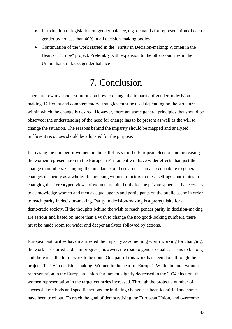- <span id="page-32-0"></span>• Introduction of legislation on gender balance, e.g. demands for representation of each gender by no less than 40% in all decision-making bodies
- Continuation of the work started in the "Parity in Decision-making: Women in the Heart of Europe" project. Preferably with expansion to the other countries in the Union that still lacks gender balance

# 7. Conclusion

There are few text-book-solutions on how to change the imparity of gender in decisionmaking. Different and complementary strategies must be used depending on the structure within which the change is desired. However, there are some general principles that should be observed: the understanding of the need for change has to be present as well as the will to change the situation. The reasons behind the imparity should be mapped and analysed. Sufficient recourses should be allocated for the purpose.

Increasing the number of women on the ballot lists for the European election and increasing the women representation in the European Parliament will have wider effects than just the change in numbers. Changing the unbalance on these arenas can also contribute to general changes in society as a whole. Recognising women as actors in these settings contributes to changing the stereotyped views of women as suited only for the private sphere. It is necessary to acknowledge women and men as equal agents and participants on the public scene in order to reach parity in decision-making. Parity in decision-making is a prerequisite for a democratic society. If the thoughts behind the wish to reach gender parity in decision-making are serious and based on more than a wish to change the not-good-looking numbers, there must be made room for wider and deeper analyses followed by actions.

European authorities have manifested the imparity as something worth working for changing, the work has started and is in progress, however, the road to gender equality seems to be long and there is still a lot of work to be done. One part of this work has been done through the project "Parity in decision-making: Women in the heart of Europe". While the total women representation in the European Union Parliament slightly decreased in the 2004 election, the women representation in the target countries increased. Through the project a number of successful methods and specific actions for initiating change has been identified and some have been tried out. To reach the goal of democratising the European Union, and overcome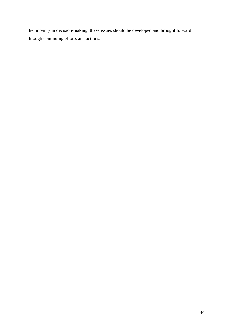the imparity in decision-making, these issues should be developed and brought forward through continuing efforts and actions.